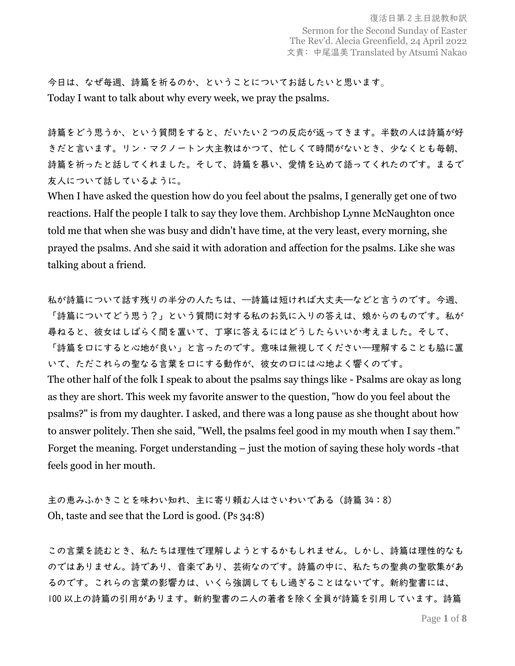今日は、なぜ毎週、詩篇を祈るのか、ということについてお話したいと思います。 Today I want to talk about why every week, we pray the psalms.

詩篇をどう思うか、という質問をすると、だいたい 2 つの反応が返ってきます。半数の人は詩篇が好 きだと言います。リン・マクノートン大主教はかつて、忙しくて時間がないとき、少なくとも毎朝、 詩篇を祈ったと話してくれました。そして、詩篇を慕い、愛情を込めて語ってくれたのです。まるで 友人について話しているように。

When I have asked the question how do you feel about the psalms, I generally get one of two reactions. Half the people I talk to say they love them. Archbishop Lynne McNaughton once told me that when she was busy and didn't have time, at the very least, every morning, she prayed the psalms. And she said it with adoration and affection for the psalms. Like she was talking about a friend.

私が詩篇について話す残りの半分の人たちは、―詩篇は短ければ大丈夫―などと言うのです。今週、 「詩篇についてどう思う?」という質問に対する私のお気に入りの答えは、娘からのものです。私が 尋ねると、彼女はしばらく間を置いて、丁寧に答えるにはどうしたらいいか考えました。そして、 「詩篇を口にすると心地が良い」と言ったのです。意味は無視してください―理解することも脇に置 いて、ただこれらの聖なる言葉を口にする動作が、彼女の口には心地よく響くのです。 The other half of the folk I speak to about the psalms say things like - Psalms are okay as long as they are short. This week my favorite answer to the question, "how do you feel about the psalms?" is from my daughter. I asked, and there was a long pause as she thought about how to answer politely. Then she said, "Well, the psalms feel good in my mouth when I say them." Forget the meaning. Forget understanding – just the motion of saying these holy words -that feels good in her mouth.

主の恵みふかきことを味わい知れ、主に寄り頼む人はさいわいである(詩篇 34:8) Oh, taste and see that the Lord is good. (Ps 34:8)

この言葉を読むとき、私たちは理性で理解しようとするかもしれません。しかし、詩篇は理性的なも のではありません。詩であり、音楽であり、芸術なのです。詩篇の中に、私たちの聖典の聖歌集があ るのです。これらの言葉の影響力は、いくら強調してもし過ぎることはないです。新約聖書には、 100 以上の詩篇の引用があります。新約聖書の二人の著者を除く全員が詩篇を引用しています。詩篇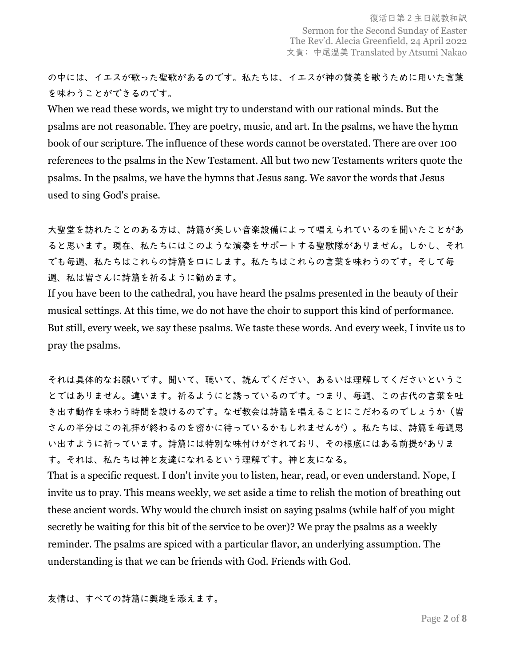の中には、イエスが歌った聖歌があるのです。私たちは、イエスが神の賛美を歌うために用いた言葉 を味わうことができるのです。

When we read these words, we might try to understand with our rational minds. But the psalms are not reasonable. They are poetry, music, and art. In the psalms, we have the hymn book of our scripture. The influence of these words cannot be overstated. There are over 100 references to the psalms in the New Testament. All but two new Testaments writers quote the psalms. In the psalms, we have the hymns that Jesus sang. We savor the words that Jesus used to sing God's praise.

大聖堂を訪れたことのある方は、詩篇が美しい音楽設備によって唱えられているのを聞いたことがあ ると思います。現在、私たちにはこのような演奏をサポートする聖歌隊がありません。しかし、それ でも毎週、私たちはこれらの詩篇を口にします。私たちはこれらの言葉を味わうのです。そして毎 週、私は皆さんに詩篇を祈るように勧めます。

If you have been to the cathedral, you have heard the psalms presented in the beauty of their musical settings. At this time, we do not have the choir to support this kind of performance. But still, every week, we say these psalms. We taste these words. And every week, I invite us to pray the psalms.

それは具体的なお願いです。聞いて、聴いて、読んでください、あるいは理解してくださいというこ とではありません。違います。祈るようにと誘っているのです。つまり、毎週、この古代の言葉を吐 き出す動作を味わう時間を設けるのです。なぜ教会は詩篇を唱えることにこだわるのでしょうか(皆 さんの半分はこの礼拝が終わるのを密かに待っているかもしれませんが)。私たちは、詩篇を毎週思 い出すように祈っています。詩篇には特別な味付けがされており、その根底にはある前提がありま す。それは、私たちは神と友達になれるという理解です。神と友になる。

That is a specific request. I don't invite you to listen, hear, read, or even understand. Nope, I invite us to pray. This means weekly, we set aside a time to relish the motion of breathing out these ancient words. Why would the church insist on saying psalms (while half of you might secretly be waiting for this bit of the service to be over)? We pray the psalms as a weekly reminder. The psalms are spiced with a particular flavor, an underlying assumption. The understanding is that we can be friends with God. Friends with God.

友情は、すべての詩篇に興趣を添えます。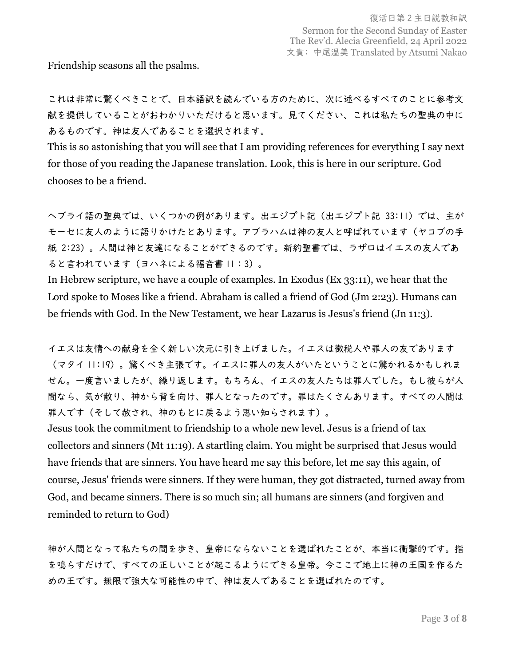Friendship seasons all the psalms.

これは非常に驚くべきことで、日本語訳を読んでいる方のために、次に述べるすべてのことに参考文 献を提供していることがおわかりいただけると思います。見てください、これは私たちの聖典の中に あるものです。神は友人であることを選択されます。

This is so astonishing that you will see that I am providing references for everything I say next for those of you reading the Japanese translation. Look, this is here in our scripture. God chooses to be a friend.

ヘブライ語の聖典では、いくつかの例があります。出エジプト記(出エジプト記 33:11)では、主が モーセに友人のように語りかけたとあります。アブラハムは神の友人と呼ばれています(ヤコブの手 紙 2:23)。人間は神と友達になることができるのです。新約聖書では、ラザロはイエスの友人であ ると言われています(ヨハネによる福音書 11:3)。

In Hebrew scripture, we have a couple of examples. In Exodus (Ex 33:11), we hear that the Lord spoke to Moses like a friend. Abraham is called a friend of God (Jm 2:23). Humans can be friends with God. In the New Testament, we hear Lazarus is Jesus's friend (Jn 11:3).

イエスは友情への献身を全く新しい次元に引き上げました。イエスは徴税人や罪人の友であります (マタイ 11:19)。驚くべき主張です。イエスに罪人の友人がいたということに驚かれるかもしれま せん。一度言いましたが、繰り返します。もちろん、イエスの友人たちは罪人でした。もし彼らが人 間なら、気が散り、神から背を向け、罪人となったのです。罪はたくさんあります。すべての人間は 罪人です(そして赦され、神のもとに戻るよう思い知らされます)。

Jesus took the commitment to friendship to a whole new level. Jesus is a friend of tax collectors and sinners (Mt 11:19). A startling claim. You might be surprised that Jesus would have friends that are sinners. You have heard me say this before, let me say this again, of course, Jesus' friends were sinners. If they were human, they got distracted, turned away from God, and became sinners. There is so much sin; all humans are sinners (and forgiven and reminded to return to God)

神が人間となって私たちの間を歩き、皇帝にならないことを選ばれたことが、本当に衝撃的です。指 を鳴らすだけで、すべての正しいことが起こるようにできる皇帝。今ここで地上に神の王国を作るた めの王です。無限で強大な可能性の中で、神は友人であることを選ばれたのです。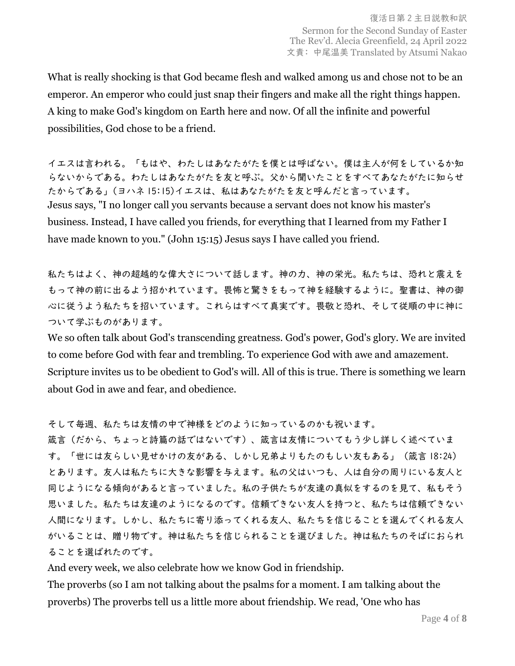What is really shocking is that God became flesh and walked among us and chose not to be an emperor. An emperor who could just snap their fingers and make all the right things happen. A king to make God's kingdom on Earth here and now. Of all the infinite and powerful possibilities, God chose to be a friend.

イエスは言われる。「もはや、わたしはあなたがたを僕とは呼ばない。僕は主人が何をしているか知 らないからである。わたしはあなたがたを友と呼ぶ。父から聞いたことをすべてあなたがたに知らせ たからである」(ヨハネ 15:15)イエスは、私はあなたがたを友と呼んだと言っています。 Jesus says, "I no longer call you servants because a servant does not know his master's business. Instead, I have called you friends, for everything that I learned from my Father I have made known to you." (John 15:15) Jesus says I have called you friend.

私たちはよく、神の超越的な偉大さについて話します。神の力、神の栄光。私たちは、恐れと震えを もって神の前に出るよう招かれています。畏怖と驚きをもって神を経験するように。聖書は、神の御 心に従うよう私たちを招いています。これらはすべて真実です。畏敬と恐れ、そして従順の中に神に ついて学ぶものがあります。

We so often talk about God's transcending greatness. God's power, God's glory. We are invited to come before God with fear and trembling. To experience God with awe and amazement. Scripture invites us to be obedient to God's will. All of this is true. There is something we learn about God in awe and fear, and obedience.

そして毎週、私たちは友情の中で神様をどのように知っているのかも祝います。

箴言(だから、ちょっと詩篇の話ではないです)、箴言は友情についてもう少し詳しく述べていま す。「世には友らしい見せかけの友がある、しかし兄弟よりもたのもしい友もある」(箴言 18:24) とあります。友人は私たちに大きな影響を与えます。私の父はいつも、人は自分の周りにいる友人と 同じようになる傾向があると言っていました。私の子供たちが友達の真似をするのを見て、私もそう 思いました。私たちは友達のようになるのです。信頼できない友人を持つと、私たちは信頼できない 人間になります。しかし、私たちに寄り添ってくれる友人、私たちを信じることを選んでくれる友人 がいることは、贈り物です。神は私たちを信じられることを選びました。神は私たちのそばにおられ ることを選ばれたのです。

And every week, we also celebrate how we know God in friendship.

The proverbs (so I am not talking about the psalms for a moment. I am talking about the proverbs) The proverbs tell us a little more about friendship. We read, 'One who has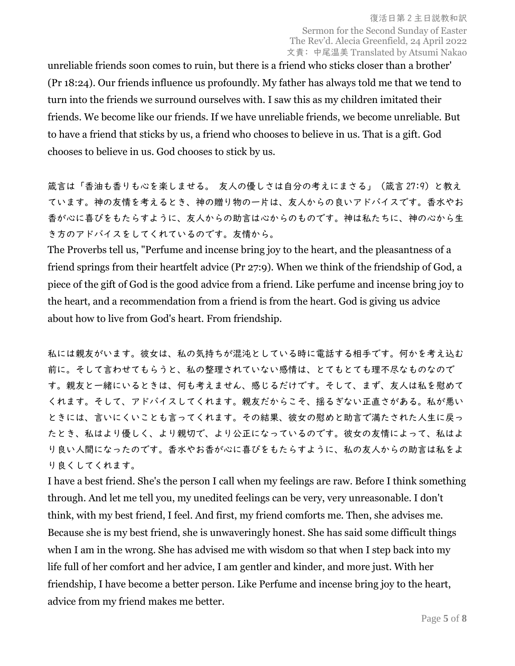unreliable friends soon comes to ruin, but there is a friend who sticks closer than a brother' (Pr 18:24). Our friends influence us profoundly. My father has always told me that we tend to turn into the friends we surround ourselves with. I saw this as my children imitated their friends. We become like our friends. If we have unreliable friends, we become unreliable. But to have a friend that sticks by us, a friend who chooses to believe in us. That is a gift. God chooses to believe in us. God chooses to stick by us.

箴言は「香油も香りも心を楽しませる。 友人の優しさは自分の考えにまさる」(箴言 27:9)と教え ています。神の友情を考えるとき、神の贈り物の一片は、友人からの良いアドバイスです。香水やお 香が心に喜びをもたらすように、友人からの助言は心からのものです。神は私たちに、神の心から生 き方のアドバイスをしてくれているのです。友情から。

The Proverbs tell us, "Perfume and incense bring joy to the heart, and the pleasantness of a friend springs from their heartfelt advice (Pr 27:9). When we think of the friendship of God, a piece of the gift of God is the good advice from a friend. Like perfume and incense bring joy to the heart, and a recommendation from a friend is from the heart. God is giving us advice about how to live from God's heart. From friendship.

私には親友がいます。彼女は、私の気持ちが混沌としている時に電話する相手です。何かを考え込む 前に。そして言わせてもらうと、私の整理されていない感情は、とてもとても理不尽なものなので す。親友と一緒にいるときは、何も考えません、感じるだけです。そして、まず、友人は私を慰めて くれます。そして、アドバイスしてくれます。親友だからこそ、揺るぎない正直さがある。私が悪い ときには、言いにくいことも言ってくれます。その結果、彼女の慰めと助言で満たされた人生に戻っ たとき、私はより優しく、より親切で、より公正になっているのです。彼女の友情によって、私はよ り良い人間になったのです。香水やお香が心に喜びをもたらすように、私の友人からの助言は私をよ り良くしてくれます。

I have a best friend. She's the person I call when my feelings are raw. Before I think something through. And let me tell you, my unedited feelings can be very, very unreasonable. I don't think, with my best friend, I feel. And first, my friend comforts me. Then, she advises me. Because she is my best friend, she is unwaveringly honest. She has said some difficult things when I am in the wrong. She has advised me with wisdom so that when I step back into my life full of her comfort and her advice, I am gentler and kinder, and more just. With her friendship, I have become a better person. Like Perfume and incense bring joy to the heart, advice from my friend makes me better.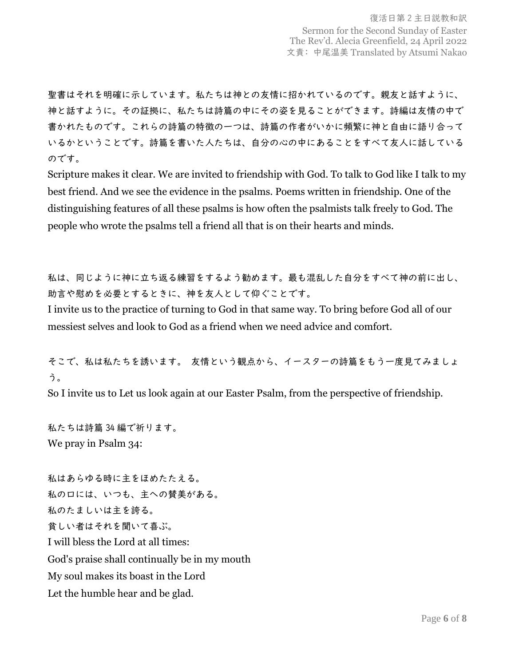聖書はそれを明確に示しています。私たちは神との友情に招かれているのです。親友と話すように、 神と話すように。その証拠に、私たちは詩篇の中にその姿を見ることができます。詩編は友情の中で 書かれたものです。これらの詩篇の特徴の一つは、詩篇の作者がいかに頻繁に神と自由に語り合って いるかということです。詩篇を書いた人たちは、自分の心の中にあることをすべて友人に話している のです。

Scripture makes it clear. We are invited to friendship with God. To talk to God like I talk to my best friend. And we see the evidence in the psalms. Poems written in friendship. One of the distinguishing features of all these psalms is how often the psalmists talk freely to God. The people who wrote the psalms tell a friend all that is on their hearts and minds.

私は、同じように神に立ち返る練習をするよう勧めます。最も混乱した自分をすべて神の前に出し、 助言や慰めを必要とするときに、神を友人として仰ぐことです。

I invite us to the practice of turning to God in that same way. To bring before God all of our messiest selves and look to God as a friend when we need advice and comfort.

そこで、私は私たちを誘います。 友情という観点から、イースターの詩篇をもう一度見てみましょ う。

So I invite us to Let us look again at our Easter Psalm, from the perspective of friendship.

私たちは詩篇 34 編で祈ります。 We pray in Psalm 34:

私はあらゆる時に主をほめたたえる。 私の口には、いつも、主への賛美がある。 私のたましいは主を誇る。 貧しい者はそれを聞いて喜ぶ。 I will bless the Lord at all times: God's praise shall continually be in my mouth My soul makes its boast in the Lord Let the humble hear and be glad.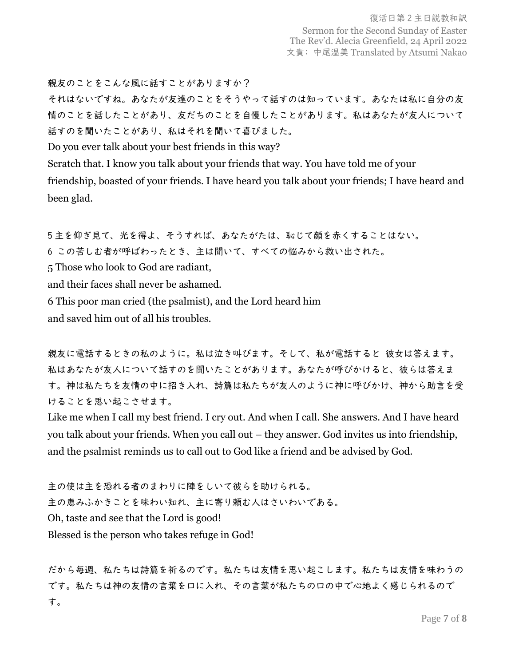親友のことをこんな風に話すことがありますか?

それはないですね。あなたが友達のことをそうやって話すのは知っています。あなたは私に自分の友 情のことを話したことがあり、友だちのことを自慢したことがあります。私はあなたが友人について 話すのを聞いたことがあり、私はそれを聞いて喜びました。

Do you ever talk about your best friends in this way?

Scratch that. I know you talk about your friends that way. You have told me of your friendship, boasted of your friends. I have heard you talk about your friends; I have heard and been glad.

5 主を仰ぎ見て、光を得よ、そうすれば、あなたがたは、恥じて顔を赤くすることはない。 6 この苦しむ者が呼ばわったとき、主は聞いて、すべての悩みから救い出された。 5 Those who look to God are radiant, and their faces shall never be ashamed. 6 This poor man cried (the psalmist), and the Lord heard him and saved him out of all his troubles.

親友に電話するときの私のように。私は泣き叫びます。そして、私が電話すると 彼女は答えます。 私はあなたが友人について話すのを聞いたことがあります。あなたが呼びかけると、彼らは答えま す。神は私たちを友情の中に招き入れ、詩篇は私たちが友人のように神に呼びかけ、神から助言を受 けることを思い起こさせます。

Like me when I call my best friend. I cry out. And when I call. She answers. And I have heard you talk about your friends. When you call out – they answer. God invites us into friendship, and the psalmist reminds us to call out to God like a friend and be advised by God.

主の使は主を恐れる者のまわりに陣をしいて彼らを助けられる。 主の恵みふかきことを味わい知れ、主に寄り頼む人はさいわいである。 Oh, taste and see that the Lord is good! Blessed is the person who takes refuge in God!

だから毎週、私たちは詩篇を祈るのです。私たちは友情を思い起こします。私たちは友情を味わうの です。私たちは神の友情の言葉を口に入れ、その言葉が私たちの口の中で心地よく感じられるので す。